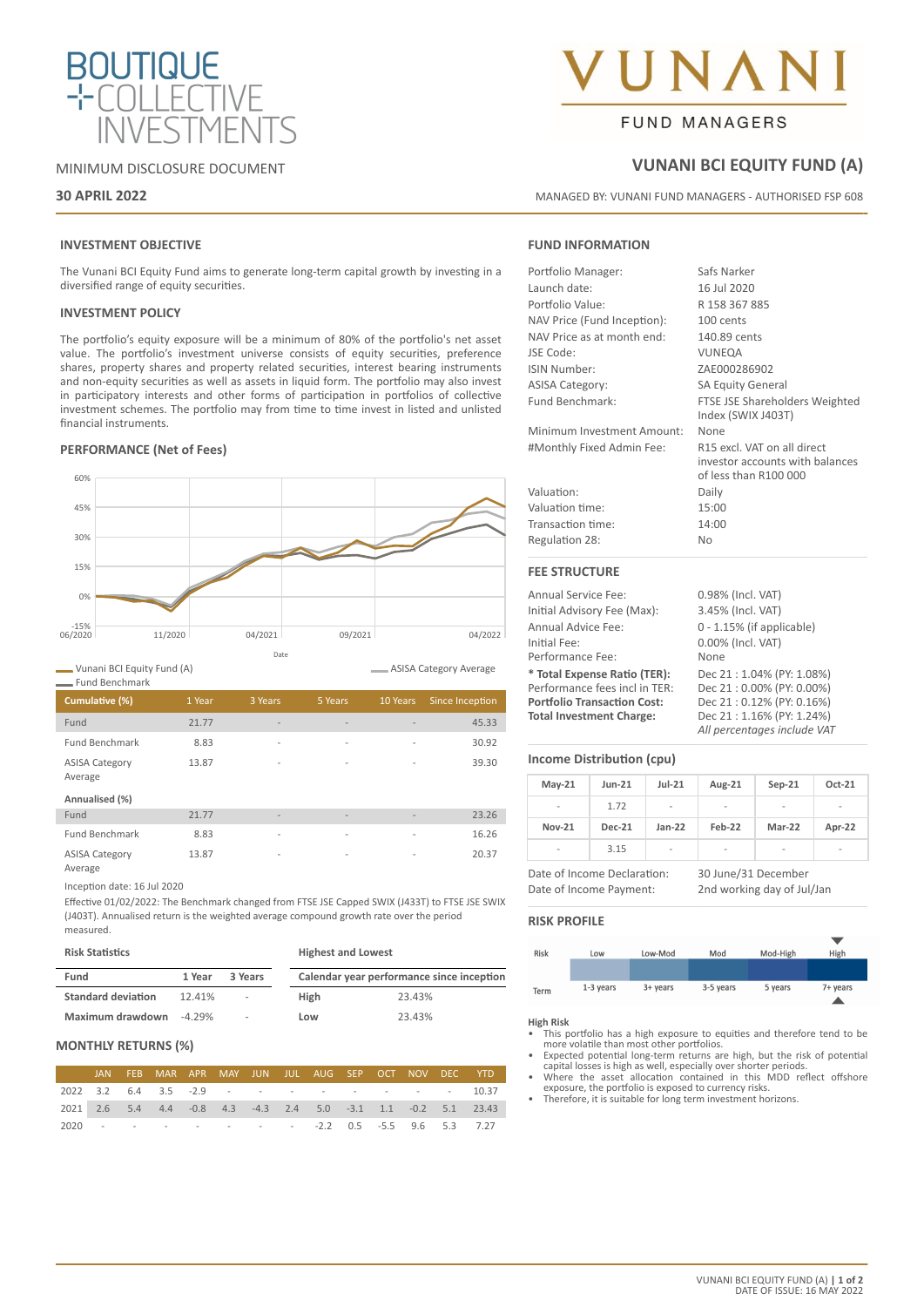

# MINIMUM DISCLOSURE DOCUMENT

# **30 APRIL 2022**

# **INVESTMENT OBJECTIVE**

The Vunani BCI Equity Fund aims to generate long-term capital growth by investing in a diversified range of equity securities.

## **INVESTMENT POLICY**

The portfolio's equity exposure will be a minimum of 80% of the portfolio's net asset value. The portfolio's investment universe consists of equity securities, preference shares, property shares and property related securities, interest bearing instruments and non-equity securities as well as assets in liquid form. The portfolio may also invest in participatory interests and other forms of participation in portfolios of collective investment schemes. The portfolio may from time to time invest in listed and unlisted financial instruments.

# **PERFORMANCE (Net of Fees)**



Vunani BCI Equity Fund (A)

| <b>Fund Benchmark</b>            |        |                          |                          |          |                 |
|----------------------------------|--------|--------------------------|--------------------------|----------|-----------------|
| Cumulative (%)                   | 1 Year | 3 Years                  | 5 Years                  | 10 Years | Since Inception |
| Fund                             | 21.77  | $\overline{\phantom{a}}$ | $\overline{\phantom{a}}$ |          | 45.33           |
| <b>Fund Benchmark</b>            | 8.83   | $\overline{\phantom{a}}$ | $\overline{a}$           | -        | 30.92           |
| <b>ASISA Category</b><br>Average | 13.87  | $\overline{a}$           | $\overline{a}$           | ۰        | 39.30           |
| Annualised (%)                   |        |                          |                          |          |                 |
| Fund                             | 21.77  | $\overline{\phantom{a}}$ | $\overline{\phantom{a}}$ |          | 23.26           |
| <b>Fund Benchmark</b>            | 8.83   | $\overline{\phantom{a}}$ | $\overline{\phantom{a}}$ | ۰        | 16.26           |
| <b>ASISA Category</b>            | 13.87  | $\overline{\phantom{a}}$ | $\overline{\phantom{a}}$ |          | 20.37           |

Average

Inception date: 16 Jul 2020

Effective 01/02/2022: The Benchmark changed from FTSE JSE Capped SWIX (J433T) to FTSE JSE SWIX (J403T). Annualised return is the weighted average compound growth rate over the period measured.

| <b>Risk Statistics</b>    |           |                          | <b>Highest and Lowest</b> |                                           |  |  |  |
|---------------------------|-----------|--------------------------|---------------------------|-------------------------------------------|--|--|--|
| Fund                      | 1 Year    | 3 Years                  |                           | Calendar year performance since inception |  |  |  |
| <b>Standard deviation</b> | 12.41%    | ٠                        | <b>High</b>               | 23.43%                                    |  |  |  |
| Maximum drawdown          | $-4.29\%$ | $\overline{\phantom{a}}$ | Low                       | 23.43%                                    |  |  |  |

# **MONTHLY RETURNS (%)**

|  | JAN FEB MAR APR MAY JUN JUL AUG SEP OCT NOV DEC YTD |  |  |  |  |                                                                             |
|--|-----------------------------------------------------|--|--|--|--|-----------------------------------------------------------------------------|
|  | 2022 3.2 6.4 3.5 -2.9 - - - - - - - - - - 10.37     |  |  |  |  |                                                                             |
|  |                                                     |  |  |  |  | 2021  2.6  5.4  4.4  -0.8  4.3  -4.3  2.4  5.0  -3.1  1.1  -0.2  5.1  23.43 |
|  | 2020 - - - - - - - - -2.2 0.5 -5.5 9.6 5.3 7.27     |  |  |  |  |                                                                             |

# **NA**

# **FUND MANAGERS**

# **VUNANI BCI EQUITY FUND (A)**

MANAGED BY: VUNANI FUND MANAGERS - AUTHORISED FSP 608

# **FUND INFORMATION**

| Portfolio Manager:          | Safs Narker                                                                             |
|-----------------------------|-----------------------------------------------------------------------------------------|
| Launch date:                | 16 Jul 2020                                                                             |
| Portfolio Value:            | R 158 367 885                                                                           |
| NAV Price (Fund Inception): | 100 cents                                                                               |
| NAV Price as at month end:  | 140.89 cents                                                                            |
| JSE Code:                   | VUNEQA                                                                                  |
| <b>ISIN Number:</b>         | ZAE000286902                                                                            |
| <b>ASISA Category:</b>      | <b>SA Equity General</b>                                                                |
| Fund Benchmark:             | FTSE JSE Shareholders Weighted<br>Index (SWIX J403T)                                    |
| Minimum Investment Amount:  | None                                                                                    |
| #Monthly Fixed Admin Fee:   | R15 excl. VAT on all direct<br>investor accounts with balances<br>of less than R100 000 |
| Valuation:                  | Daily                                                                                   |
| Valuation time:             | 15:00                                                                                   |
| Transaction time:           | 14:00                                                                                   |
| Regulation 28:              | N <sub>0</sub>                                                                          |
| <b>FEE STRUCTURE</b>        |                                                                                         |
| American Composition Color  | 0.000/1.1111                                                                            |

Annual Service Fee: 0.98% (Incl. VAT) Initial Advisory Fee (Max): 3.45% (Incl. VAT) Annual Advice Fee: 0 - 1.15% (if applicable) Initial Fee: 0.00% (Incl. VAT) Performance Fee: None **\* Total Expense Ratio (TER):** Dec 21 : 1.04% (PY: 1.08%) Performance fees incl in TER: Dec 21 : 0.00% (PY: 0.00%)<br> **Portfolio Transaction Cost:** Dec 21 : 0.12% (PY: 0.16%) **Portfolio Transaction Cost: Total Investment Charge:** Dec 21 : 1.16% (PY: 1.24%) *All percentages include VAT*

# **Income Distribution (cpu)**

| $May-21$                 | <b>Jun-21</b> | $Jul-21$                 | Aug-21                   | $Sep-21$                 | Oct-21 |  |
|--------------------------|---------------|--------------------------|--------------------------|--------------------------|--------|--|
| $\overline{a}$           | 1.72          | $\overline{\phantom{a}}$ | ۰                        | ٠                        | -      |  |
| <b>Nov-21</b>            | <b>Dec-21</b> | $Jan-22$                 | Feb-22                   | Mar-22                   | Apr-22 |  |
| $\overline{\phantom{a}}$ | 3.15          | $\overline{\phantom{a}}$ | $\overline{\phantom{a}}$ | $\overline{\phantom{a}}$ | ۰      |  |

Date of Income Declaration: 30 June/31 December Date of Income Payment: 2nd working day of Jul/Jan



### **High Risk**

ASISA Category Average

- This portfolio has a high exposure to equities and therefore tend to be more volatile than most other portfolios.
- Expected potential long-term returns are high, but the risk of potential capital losses is high as well, especially over shorter periods. Where the asset allocation contained in this MDD reflect offshore
- exposure, the portfolio is exposed to currency risks. Therefore, it is suitable for long term investment horizons.
-